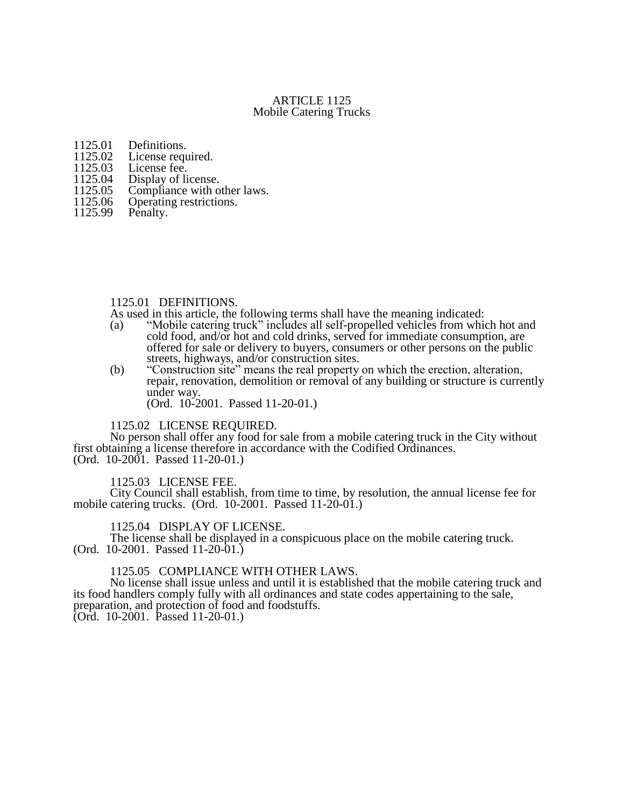## ARTICLE 1125 Mobile Catering Trucks

- 1125.01 Definitions.<br>1125.02 License requ
- 1125.02 License required.<br>1125.03 License fee.
- 1125.03 License fee.<br>1125.04 Display of li
- 1125.04 Display of license.<br>1125.05 Compliance with o
- 1125.05 Compliance with other laws.<br>1125.06 Operating restrictions.
- 1125.06 Operating restrictions.<br>1125.99 Penalty.
- Penalty.

#### 1125.01 DEFINITIONS.

- As used in this article, the following terms shall have the meaning indicated:
- (a) "Mobile catering truck" includes all self-propelled vehicles from which hot and cold food, and/or hot and cold drinks, served for immediate consumption, are offered for sale or delivery to buyers, consumers or other persons on the public streets, highways, and/or construction sites.
- (b) "Construction site" means the real property on which the erection, alteration, repair, renovation, demolition or removal of any building or structure is currently under way.

(Ord. 10-2001. Passed 11-20-01.)

### 1125.02 LICENSE REQUIRED.

No person shall offer any food for sale from a mobile catering truck in the City without first obtaining a license therefore in accordance with the Codified Ordinances. (Ord. 10-2001. Passed 11-20-01.)

#### 1125.03 LICENSE FEE.

City Council shall establish, from time to time, by resolution, the annual license fee for mobile catering trucks. (Ord. 10-2001. Passed 11-20-01.)

## 1125.04 DISPLAY OF LICENSE.

The license shall be displayed in a conspicuous place on the mobile catering truck. (Ord. 10-2001. Passed 11-20-01.)

#### 1125.05 COMPLIANCE WITH OTHER LAWS.

No license shall issue unless and until it is established that the mobile catering truck and its food handlers comply fully with all ordinances and state codes appertaining to the sale, preparation, and protection of food and foodstuffs. (Ord. 10-2001. Passed 11-20-01.)